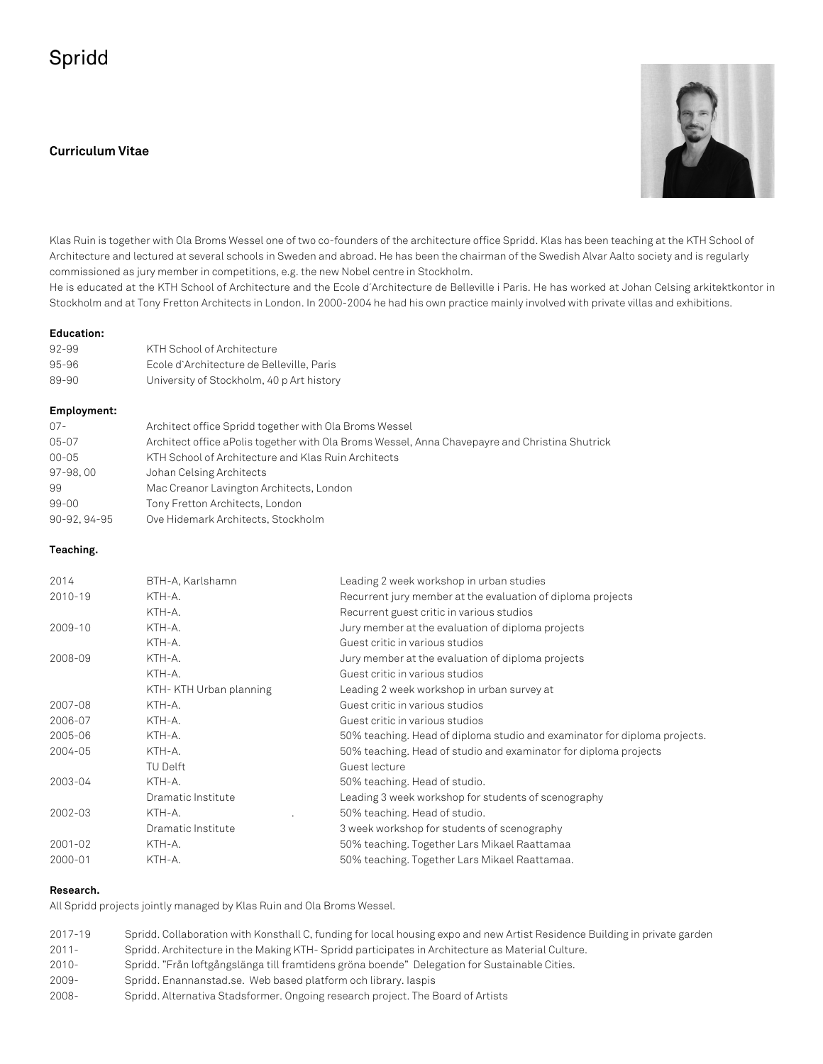# Spridd

# **Curriculum Vitae**



Klas Ruin is together with Ola Broms Wessel one of two co-founders of the architecture office Spridd. Klas has been teaching at the KTH School of Architecture and lectured at several schools in Sweden and abroad. He has been the chairman of the Swedish Alvar Aalto society and is regularly commissioned as jury member in competitions, e.g. the new Nobel centre in Stockholm.

He is educated at the KTH School of Architecture and the Ecole d´Architecture de Belleville i Paris. He has worked at Johan Celsing arkitektkontor in Stockholm and at Tony Fretton Architects in London. In 2000-2004 he had his own practice mainly involved with private villas and exhibitions.

#### **Education:**

| Employment: |                                           |  |
|-------------|-------------------------------------------|--|
| 89-90       | University of Stockholm, 40 p Art history |  |
| 95-96       | Ecole d'Architecture de Belleville, Paris |  |
| 92-99       | KTH School of Architecture                |  |
|             |                                           |  |

| $07 -$      | Architect office Spridd together with Ola Broms Wessel                                          |
|-------------|-------------------------------------------------------------------------------------------------|
| 05-07       | Architect office a Polis together with Ola Broms Wessel, Anna Chavepayre and Christina Shutrick |
| $00 - 05$   | KTH School of Architecture and Klas Ruin Architects                                             |
| 97-98,00    | Johan Celsing Architects                                                                        |
| -99         | Mac Creanor Lavington Architects, London                                                        |
| 99-00       | Tony Fretton Architects, London                                                                 |
| 90-92.94-95 | Ove Hidemark Architects, Stockholm                                                              |

### **Teaching.**

| 2014    | BTH-A, Karlshamn       | Leading 2 week workshop in urban studies                                  |
|---------|------------------------|---------------------------------------------------------------------------|
| 2010-19 | KTH-A.                 | Recurrent jury member at the evaluation of diploma projects               |
|         | KTH-A.                 | Recurrent guest critic in various studios                                 |
| 2009-10 | KTH-A.                 | Jury member at the evaluation of diploma projects                         |
|         | KTH-A.                 | Guest critic in various studios                                           |
| 2008-09 | KTH-A.                 | Jury member at the evaluation of diploma projects                         |
|         | KTH-A.                 | Guest critic in various studios                                           |
|         | KTH-KTH Urban planning | Leading 2 week workshop in urban survey at                                |
| 2007-08 | KTH-A.                 | Guest critic in various studios                                           |
| 2006-07 | KTH-A.                 | Guest critic in various studios                                           |
| 2005-06 | KTH-A.                 | 50% teaching. Head of diploma studio and examinator for diploma projects. |
| 2004-05 | KTH-A.                 | 50% teaching. Head of studio and examinator for diploma projects          |
|         | <b>TU Delft</b>        | Guest lecture                                                             |
| 2003-04 | KTH-A.                 | 50% teaching. Head of studio.                                             |
|         | Dramatic Institute     | Leading 3 week workshop for students of scenography                       |
| 2002-03 | KTH-A.                 | 50% teaching. Head of studio.                                             |
|         | Dramatic Institute     | 3 week workshop for students of scenography                               |
| 2001-02 | KTH-A.                 | 50% teaching. Together Lars Mikael Raattamaa                              |
| 2000-01 | KTH-A.                 | 50% teaching. Together Lars Mikael Raattamaa.                             |
|         |                        |                                                                           |

#### **Research.**

All Spridd projects jointly managed by Klas Ruin and Ola Broms Wessel.

| 2017-19  | Spridd. Collaboration with Konsthall C, funding for local housing expo and new Artist Residence Building in private garden |
|----------|----------------------------------------------------------------------------------------------------------------------------|
| $2011 -$ | Spridd. Architecture in the Making KTH-Spridd participates in Architecture as Material Culture.                            |
| $2010 -$ | Spridd. "Från loftgångslänga till framtidens gröna boende" Delegation for Sustainable Cities.                              |
| $2009 -$ | Spridd. Enannanstad.se. Web based platform och library. Jaspis                                                             |
| $2008 -$ | Spridd. Alternativa Stadsformer. Ongoing research project. The Board of Artists                                            |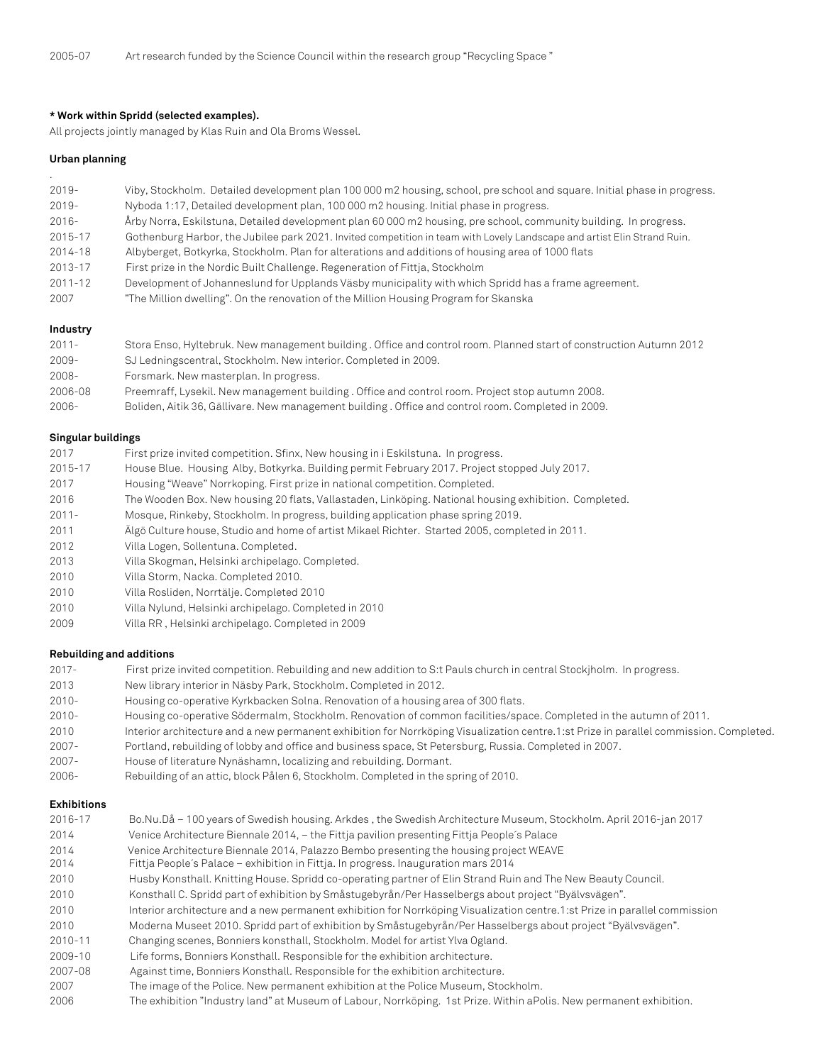#### **\* Work within Spridd (selected examples).**

All projects jointly managed by Klas Ruin and Ola Broms Wessel.

#### **Urban planning**

.

| $2019 -$    | Viby, Stockholm. Detailed development plan 100 000 m2 housing, school, pre school and square. Initial phase in progress. |
|-------------|--------------------------------------------------------------------------------------------------------------------------|
| $2019 -$    | Nyboda 1:17, Detailed development plan, 100 000 m2 housing. Initial phase in progress.                                   |
| $2016 -$    | Årby Norra, Eskilstuna, Detailed development plan 60 000 m2 housing, pre school, community building. In progress.        |
| 2015-17     | Gothenburg Harbor, the Jubilee park 2021. Invited competition in team with Lovely Landscape and artist Elin Strand Ruin. |
| 2014-18     | Albyberget, Botkyrka, Stockholm. Plan for alterations and additions of housing area of 1000 flats                        |
| 2013-17     | First prize in the Nordic Built Challenge. Regeneration of Fittia, Stockholm                                             |
| $2011 - 12$ | Development of Johanneslund for Upplands Väsby municipality with which Spridd has a frame agreement.                     |
| 2007        | "The Million dwelling". On the renovation of the Million Housing Program for Skanska                                     |
| Industry    |                                                                                                                          |

| $2011 -$ | Stora Enso, Hyltebruk. New management building . Office and control room. Planned start of construction Autumn 2012 |
|----------|---------------------------------------------------------------------------------------------------------------------|
| $2009 -$ | SJ Ledningscentral, Stockholm. New interior. Completed in 2009.                                                     |
| $2008 -$ | Forsmark. New masterplan. In progress.                                                                              |
| 2006-08  | Preemraff, Lysekil. New management building. Office and control room. Project stop autumn 2008.                     |
| $2006 -$ | Boliden, Aitik 36, Gällivare. New management building . Office and control room. Completed in 2009.                 |

#### **Singular buildings**

| 2017     | First prize invited competition. Sfinx, New housing in i Eskilstuna. In progress.                     |
|----------|-------------------------------------------------------------------------------------------------------|
| 2015-17  | House Blue. Housing Alby, Botkyrka. Building permit February 2017. Project stopped July 2017.         |
| 2017     | Housing "Weave" Norrkoping. First prize in national competition. Completed.                           |
| 2016     | The Wooden Box. New housing 20 flats, Vallastaden, Linköping. National housing exhibition. Completed. |
| $2011 -$ | Mosque, Rinkeby, Stockholm. In progress, building application phase spring 2019.                      |
| 2011     | Algö Culture house, Studio and home of artist Mikael Richter. Started 2005, completed in 2011.        |
| 2012     | Villa Logen, Sollentuna. Completed.                                                                   |
| 2013     | Villa Skogman, Helsinki archipelago. Completed.                                                       |
| 2010     | Villa Storm, Nacka. Completed 2010.                                                                   |
| 2010     | Villa Rosliden, Norrtälje. Completed 2010                                                             |
| 2010     | Villa Nylund, Helsinki archipelago. Completed in 2010                                                 |
| 2009     | Villa RR, Helsinki archipelago. Completed in 2009                                                     |

#### **Rebuilding and additions**

| $2017 -$ |  | First prize invited competition. Rebuilding and new addition to S:t Pauls church in central Stockjholm. In progress. |
|----------|--|----------------------------------------------------------------------------------------------------------------------|
|          |  |                                                                                                                      |
|          |  |                                                                                                                      |
|          |  |                                                                                                                      |

- 2013 New library interior in Näsby Park, Stockholm. Completed in 2012.
- 2010- Housing co-operative Kyrkbacken Solna. Renovation of a housing area of 300 flats.
- 2010- Housing co-operative Södermalm, Stockholm. Renovation of common facilities/space. Completed in the autumn of 2011.
- 2010 Interior architecture and a new permanent exhibition for Norrköping Visualization centre.1:st Prize in parallel commission. Completed.
- 2007- Portland, rebuilding of lobby and office and business space, St Petersburg, Russia. Completed in 2007.
- 2007- House of literature Nynäshamn, localizing and rebuilding. Dormant.
- 2006- Rebuilding of an attic, block Pålen 6, Stockholm. Completed in the spring of 2010.

#### **Exhibitions**

| 2016-17 | Bo.Nu.Då – 100 years of Swedish housing. Arkdes, the Swedish Architecture Museum, Stockholm. April 2016-jan 2017           |
|---------|----------------------------------------------------------------------------------------------------------------------------|
| 2014    | Venice Architecture Biennale 2014, - the Fittja pavilion presenting Fittja People's Palace                                 |
| 2014    | Venice Architecture Biennale 2014, Palazzo Bembo presenting the housing project WEAVE                                      |
| 2014    | Fittja People's Palace – exhibition in Fittja. In progress. Inauguration mars 2014                                         |
| 2010    | Husby Konsthall. Knitting House. Spridd co-operating partner of Elin Strand Ruin and The New Beauty Council.               |
| 2010    | Konsthall C. Spridd part of exhibition by Småstugebyrån/Per Hasselbergs about project "Byälvsvägen".                       |
| 2010    | Interior architecture and a new permanent exhibition for Norrköping Visualization centre.1:st Prize in parallel commission |
| 2010    | Moderna Museet 2010. Spridd part of exhibition by Småstugebyrån/Per Hasselbergs about project "Byälvsvägen".               |
| 2010-11 | Changing scenes, Bonniers konsthall, Stockholm. Model for artist Ylva Ogland.                                              |
| 2009-10 | Life forms, Bonniers Konsthall. Responsible for the exhibition architecture.                                               |
| 2007-08 | Against time, Bonniers Konsthall. Responsible for the exhibition architecture.                                             |
| 2007    | The image of the Police. New permanent exhibition at the Police Museum, Stockholm.                                         |
| 2006    | The exhibition "Industry land" at Museum of Labour, Norrköping. 1st Prize. Within aPolis. New permanent exhibition.        |